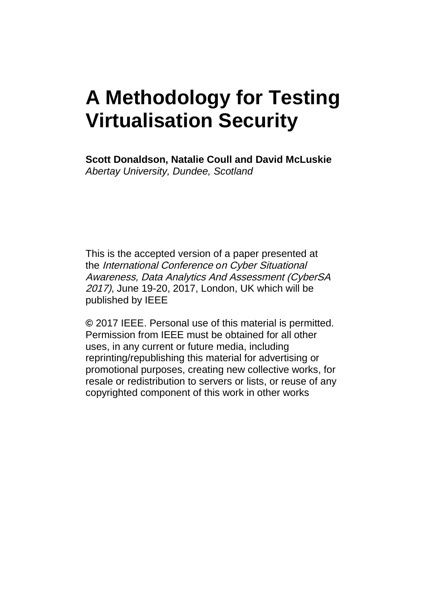# **A Methodology for Testing Virtualisation Security**

**Scott Donaldson, Natalie Coull and David McLuskie** *Abertay University, Dundee, Scotland*

This is the accepted version of a paper presented at the International Conference *o*n Cyber Situational Awareness, Data Analytics And Assessment (CyberSA 2017), June 19-20, 2017, London, UK which will be published by IEEE

**©** 2017 IEEE. Personal use of this material is permitted. Permission from IEEE must be obtained for all other uses, in any current or future media, including reprinting/republishing this material for advertising or promotional purposes, creating new collective works, for resale or redistribution to servers or lists, or reuse of any copyrighted component of this work in other works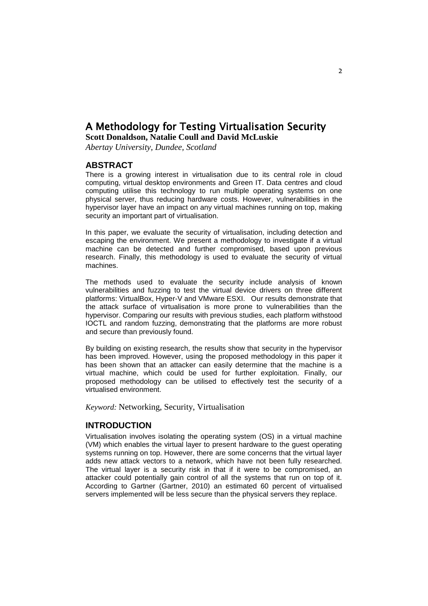# A Methodology for Testing Virtualisation Security

**Scott Donaldson, Natalie Coull and David McLuskie**

*Abertay University, Dundee, Scotland*

# **ABSTRACT**

There is a growing interest in virtualisation due to its central role in cloud computing, virtual desktop environments and Green IT. Data centres and cloud computing utilise this technology to run multiple operating systems on one physical server, thus reducing hardware costs. However, vulnerabilities in the hypervisor layer have an impact on any virtual machines running on top, making security an important part of virtualisation.

In this paper, we evaluate the security of virtualisation, including detection and escaping the environment. We present a methodology to investigate if a virtual machine can be detected and further compromised, based upon previous research. Finally, this methodology is used to evaluate the security of virtual machines.

The methods used to evaluate the security include analysis of known vulnerabilities and fuzzing to test the virtual device drivers on three different platforms: VirtualBox, Hyper-V and VMware ESXI. Our results demonstrate that the attack surface of virtualisation is more prone to vulnerabilities than the hypervisor. Comparing our results with previous studies, each platform withstood IOCTL and random fuzzing, demonstrating that the platforms are more robust and secure than previously found.

By building on existing research, the results show that security in the hypervisor has been improved. However, using the proposed methodology in this paper it has been shown that an attacker can easily determine that the machine is a virtual machine, which could be used for further exploitation. Finally, our proposed methodology can be utilised to effectively test the security of a virtualised environment.

*Keyword:* Networking, Security, Virtualisation

# **INTRODUCTION**

Virtualisation involves isolating the operating system (OS) in a virtual machine (VM) which enables the virtual layer to present hardware to the guest operating systems running on top. However, there are some concerns that the virtual layer adds new attack vectors to a network, which have not been fully researched. The virtual layer is a security risk in that if it were to be compromised, an attacker could potentially gain control of all the systems that run on top of it. According to Gartner (Gartner, 2010) an estimated 60 percent of virtualised servers implemented will be less secure than the physical servers they replace.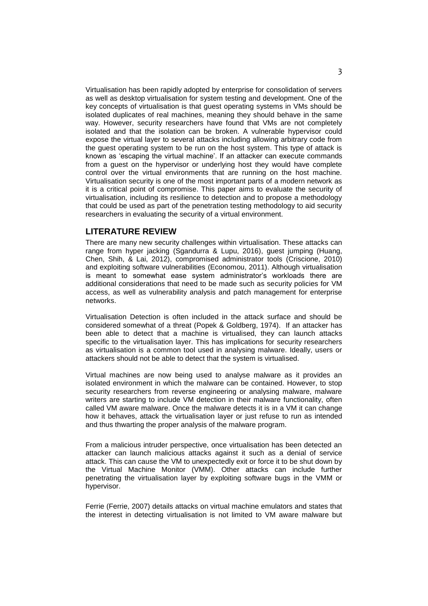Virtualisation has been rapidly adopted by enterprise for consolidation of servers as well as desktop virtualisation for system testing and development. One of the key concepts of virtualisation is that guest operating systems in VMs should be isolated duplicates of real machines, meaning they should behave in the same way. However, security researchers have found that VMs are not completely isolated and that the isolation can be broken. A vulnerable hypervisor could expose the virtual layer to several attacks including allowing arbitrary code from the guest operating system to be run on the host system. This type of attack is known as 'escaping the virtual machine'. If an attacker can execute commands from a guest on the hypervisor or underlying host they would have complete control over the virtual environments that are running on the host machine. Virtualisation security is one of the most important parts of a modern network as it is a critical point of compromise. This paper aims to evaluate the security of virtualisation, including its resilience to detection and to propose a methodology that could be used as part of the penetration testing methodology to aid security researchers in evaluating the security of a virtual environment.

#### **LITERATURE REVIEW**

There are many new security challenges within virtualisation. These attacks can range from hyper jacking (Sgandurra & Lupu, 2016), guest jumping (Huang, Chen, Shih, & Lai, 2012), compromised administrator tools (Criscione, 2010) and exploiting software vulnerabilities (Economou, 2011). Although virtualisation is meant to somewhat ease system administrator's workloads there are additional considerations that need to be made such as security policies for VM access, as well as vulnerability analysis and patch management for enterprise networks.

Virtualisation Detection is often included in the attack surface and should be considered somewhat of a threat (Popek & Goldberg, 1974). If an attacker has been able to detect that a machine is virtualised, they can launch attacks specific to the virtualisation layer. This has implications for security researchers as virtualisation is a common tool used in analysing malware. Ideally, users or attackers should not be able to detect that the system is virtualised.

Virtual machines are now being used to analyse malware as it provides an isolated environment in which the malware can be contained. However, to stop security researchers from reverse engineering or analysing malware, malware writers are starting to include VM detection in their malware functionality, often called VM aware malware. Once the malware detects it is in a VM it can change how it behaves, attack the virtualisation layer or just refuse to run as intended and thus thwarting the proper analysis of the malware program.

From a malicious intruder perspective, once virtualisation has been detected an attacker can launch malicious attacks against it such as a denial of service attack. This can cause the VM to unexpectedly exit or force it to be shut down by the Virtual Machine Monitor (VMM). Other attacks can include further penetrating the virtualisation layer by exploiting software bugs in the VMM or hypervisor.

Ferrie (Ferrie, 2007) details attacks on virtual machine emulators and states that the interest in detecting virtualisation is not limited to VM aware malware but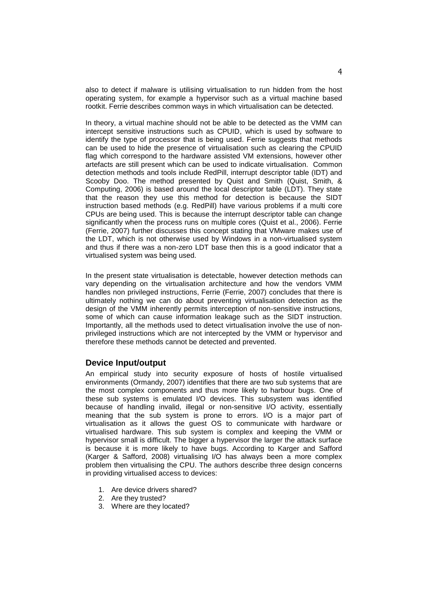also to detect if malware is utilising virtualisation to run hidden from the host operating system, for example a hypervisor such as a virtual machine based rootkit. Ferrie describes common ways in which virtualisation can be detected.

In theory, a virtual machine should not be able to be detected as the VMM can intercept sensitive instructions such as CPUID, which is used by software to identify the type of processor that is being used. Ferrie suggests that methods can be used to hide the presence of virtualisation such as clearing the CPUID flag which correspond to the hardware assisted VM extensions, however other artefacts are still present which can be used to indicate virtualisation. Common detection methods and tools include RedPill, interrupt descriptor table (IDT) and Scooby Doo. The method presented by Quist and Smith (Quist, Smith, & Computing, 2006) is based around the local descriptor table (LDT). They state that the reason they use this method for detection is because the SIDT instruction based methods (e.g. RedPill) have various problems if a multi core CPUs are being used. This is because the interrupt descriptor table can change significantly when the process runs on multiple cores (Quist et al., 2006). Ferrie (Ferrie, 2007) further discusses this concept stating that VMware makes use of the LDT, which is not otherwise used by Windows in a non-virtualised system and thus if there was a non-zero LDT base then this is a good indicator that a virtualised system was being used.

In the present state virtualisation is detectable, however detection methods can vary depending on the virtualisation architecture and how the vendors VMM handles non privileged instructions, Ferrie (Ferrie, 2007) concludes that there is ultimately nothing we can do about preventing virtualisation detection as the design of the VMM inherently permits interception of non-sensitive instructions, some of which can cause information leakage such as the SIDT instruction. Importantly, all the methods used to detect virtualisation involve the use of nonprivileged instructions which are not intercepted by the VMM or hypervisor and therefore these methods cannot be detected and prevented.

#### **Device Input/output**

An empirical study into security exposure of hosts of hostile virtualised environments (Ormandy, 2007) identifies that there are two sub systems that are the most complex components and thus more likely to harbour bugs. One of these sub systems is emulated I/O devices. This subsystem was identified because of handling invalid, illegal or non-sensitive I/O activity, essentially meaning that the sub system is prone to errors. I/O is a major part of virtualisation as it allows the guest OS to communicate with hardware or virtualised hardware. This sub system is complex and keeping the VMM or hypervisor small is difficult. The bigger a hypervisor the larger the attack surface is because it is more likely to have bugs. According to Karger and Safford (Karger & Safford, 2008) virtualising I/O has always been a more complex problem then virtualising the CPU. The authors describe three design concerns in providing virtualised access to devices:

- 1. Are device drivers shared?
- 2. Are they trusted?
- 3. Where are they located?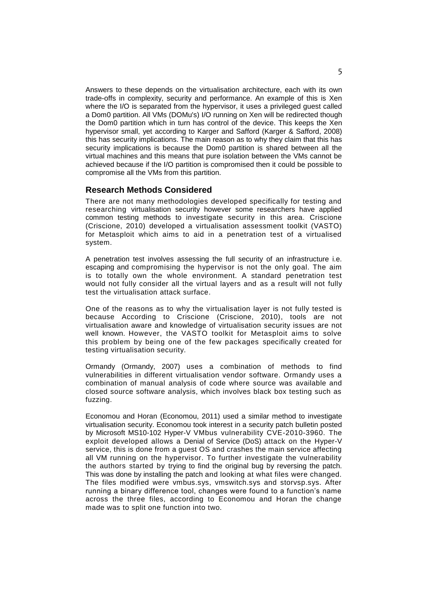Answers to these depends on the virtualisation architecture, each with its own trade-offs in complexity, security and performance. An example of this is Xen where the I/O is separated from the hypervisor, it uses a privileged guest called a Dom0 partition. All VMs (DOMu's) I/O running on Xen will be redirected though the Dom0 partition which in turn has control of the device. This keeps the Xen hypervisor small, yet according to Karger and Safford (Karger & Safford, 2008) this has security implications. The main reason as to why they claim that this has security implications is because the Dom0 partition is shared between all the virtual machines and this means that pure isolation between the VMs cannot be achieved because if the I/O partition is compromised then it could be possible to compromise all the VMs from this partition.

#### **Research Methods Considered**

There are not many methodologies developed specifically for testing and researching virtualisation security however some researchers have applied common testing methods to investigate security in this area. Criscione (Criscione, 2010) developed a virtualisation assessment toolkit (VASTO) for Metasploit which aims to aid in a penetration test of a virtualised system.

A penetration test involves assessing the full security of an infrastructure i.e. escaping and compromising the hypervisor is not the only goal. The aim is to totally own the whole environment. A standard penetration test would not fully consider all the virtual layers and as a result will not fully test the virtualisation attack surface.

One of the reasons as to why the virtualisation layer is not fully tested is because According to Criscione (Criscione, 2010), tools are not virtualisation aware and knowledge of virtualisation security issues are not well known. However, the VASTO toolkit for Metasploit aims to solve this problem by being one of the few packages specifically created for testing virtualisation security.

Ormandy (Ormandy, 2007) uses a combination of methods to find vulnerabilities in different virtualisation vendor software. Ormandy uses a combination of manual analysis of code where source was available and closed source software analysis, which involves black box testing such as fuzzing.

Economou and Horan (Economou, 2011) used a similar method to investigate virtualisation security. Economou took interest in a security patch bulletin posted by Microsoft MS10-102 Hyper-V VMbus vulnerability CVE-2010-3960. The exploit developed allows a Denial of Service (DoS) attack on the Hyper-V service, this is done from a guest OS and crashes the main service affecting all VM running on the hypervisor. To further investigate the vulnerability the authors started by trying to find the original bug by reversing the patch. This was done by installing the patch and looking at what files were changed. The files modified were vmbus.sys, vmswitch.sys and storvsp.sys. After running a binary difference tool, changes were found to a function's name across the three files, according to Economou and Horan the change made was to split one function into two.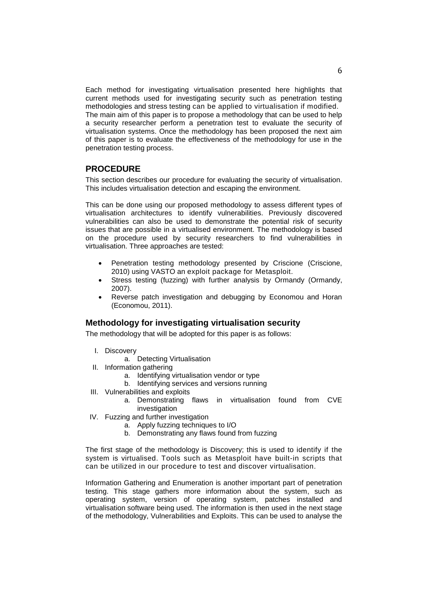Each method for investigating virtualisation presented here highlights that current methods used for investigating security such as penetration testing methodologies and stress testing can be applied to virtualisation if modified. The main aim of this paper is to propose a methodology that can be used to help a security researcher perform a penetration test to evaluate the security of virtualisation systems. Once the methodology has been proposed the next aim of this paper is to evaluate the effectiveness of the methodology for use in the penetration testing process.

# **PROCEDURE**

This section describes our procedure for evaluating the security of virtualisation. This includes virtualisation detection and escaping the environment.

This can be done using our proposed methodology to assess different types of virtualisation architectures to identify vulnerabilities. Previously discovered vulnerabilities can also be used to demonstrate the potential risk of security issues that are possible in a virtualised environment. The methodology is based on the procedure used by security researchers to find vulnerabilities in virtualisation. Three approaches are tested:

- Penetration testing methodology presented by Criscione (Criscione, 2010) using VASTO an exploit package for Metasploit.
- Stress testing (fuzzing) with further analysis by Ormandy (Ormandy, 2007).
- Reverse patch investigation and debugging by Economou and Horan (Economou, 2011).

#### **Methodology for investigating virtualisation security**

The methodology that will be adopted for this paper is as follows:

- I. Discovery
	- a. Detecting Virtualisation
- II. Information gathering
	- a. Identifying virtualisation vendor or type
	- b. Identifying services and versions running
- III. Vulnerabilities and exploits
	- a. Demonstrating flaws in virtualisation found from CVE investigation
- IV. Fuzzing and further investigation
	- a. Apply fuzzing techniques to I/O
	- b. Demonstrating any flaws found from fuzzing

The first stage of the methodology is Discovery; this is used to identify if the system is virtualised. Tools such as Metasploit have built-in scripts that can be utilized in our procedure to test and discover virtualisation.

Information Gathering and Enumeration is another important part of penetration testing. This stage gathers more information about the system, such as operating system, version of operating system, patches installed and virtualisation software being used. The information is then used in the next stage of the methodology, Vulnerabilities and Exploits. This can be used to analyse the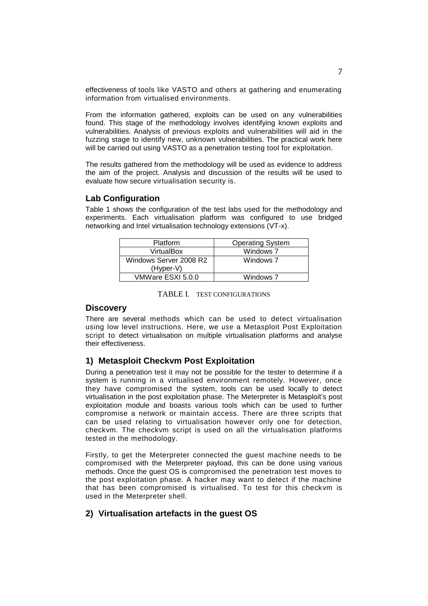effectiveness of tools like VASTO and others at gathering and enumerating information from virtualised environments.

From the information gathered, exploits can be used on any vulnerabilities found. This stage of the methodology involves identifying known exploits and vulnerabilities. Analysis of previous exploits and vulnerabilities will aid in the fuzzing stage to identify new, unknown vulnerabilities. The practical work here will be carried out using VASTO as a penetration testing tool for exploitation.

The results gathered from the methodology will be used as evidence to address the aim of the project. Analysis and discussion of the results will be used to evaluate how secure virtualisation security is.

# **Lab Configuration**

Table 1 shows the configuration of the test labs used for the methodology and experiments. Each virtualisation platform was configured to use bridged networking and Intel virtualisation technology extensions (VT-x).

| <b>Platform</b>        | <b>Operating System</b> |
|------------------------|-------------------------|
| VirtualBox             | Windows 7               |
| Windows Server 2008 R2 | Windows 7               |
| (Hyper-V)              |                         |
| VMWare ESXI 5.0.0      | Windows 7               |

TABLE I. TEST CONFIGURATIONS

# **Discovery**

There are several methods which can be used to detect virtualisation using low level instructions. Here, we *use* a Metasploit Post Exploitation script to detect virtualisation on multiple virtualisation platforms and analyse their effectiveness.

# **1) Metasploit Checkvm Post Exploitation**

During a penetration test it may not be possible for the tester to determine if a system is running in a virtualised environment remotely. However, once they have compromised the system, tools can be used locally to detect virtualisation in the post exploitation phase. The Meterpreter is Metasploit's post exploitation module and boasts various tools which can be used to further compromise a network or maintain access. There are three scripts that can be used relating to virtualisation however only one for detection, checkvm. The checkvm script is used on all the virtualisation platforms tested in the methodology.

Firstly, to get the Meterpreter connected the guest machine needs to be compromised with the Meterpreter payload, this can be done using various methods. Once the guest OS is compromised the penetration test moves to the post exploitation phase. A hacker may want to detect if the machine that has been compromised is virtualised. To test for this checkvm is used in the Meterpreter shell.

# **2) Virtualisation artefacts in the guest OS**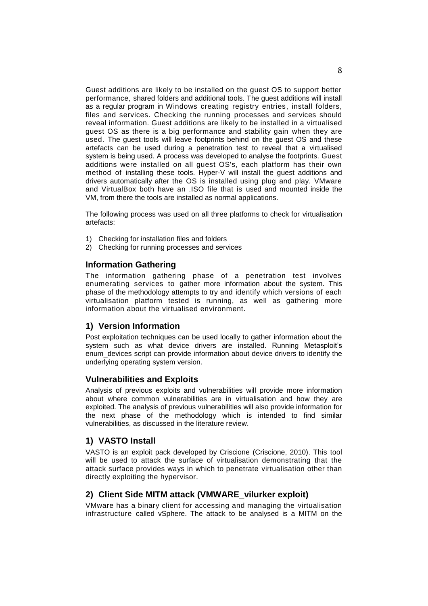Guest additions are likely to be installed on the guest OS to support better performance, shared folders and additional tools. The guest additions will install as a regular program in Windows creating registry entries, install folders, files and services. Checking the running processes and services should reveal information. Guest additions are likely to be installed in a virtualised guest OS as there is a big performance and stability gain when they are used. The guest tools will leave footprints behind on the guest OS and these artefacts can be used during a penetration test to reveal that a virtualised system is being used. A process was developed to analyse the footprints. Guest additions were installed on all guest OS's, each platform has their own method of installing these tools. Hyper-V will install the guest additions and drivers automatically after the OS is installed using plug and play. VMware and VirtualBox both have an .ISO file that is used and mounted inside the VM, from there the tools are installed as normal applications.

The following process was used on all three platforms to check for virtualisation artefacts:

- 1) Checking for installation files and folders
- 2) Checking for running processes and services

# **Information Gathering**

The information gathering phase of a penetration test involves enumerating services to gather more information about the system. This phase of the methodology attempts to try and identify which versions of each virtualisation platform tested is running, as well as gathering more information about the virtualised environment.

# **1) Version Information**

Post exploitation techniques can be used locally to gather information about the system such as what device drivers are installed. Running Metasploit's enum devices script can provide information about device drivers to identify the underlying operating system version.

#### **Vulnerabilities and Exploits**

Analysis of previous exploits and vulnerabilities will provide more information about where common vulnerabilities are in virtualisation and how they are exploited. The analysis of previous vulnerabilities will also provide information for the next phase of the methodology which is intended to find similar vulnerabilities, as discussed in the literature review.

# **1) VASTO Install**

VASTO is an exploit pack developed by Criscione (Criscione, 2010). This tool will be used to attack the surface of virtualisation demonstrating that the attack surface provides ways in which to penetrate virtualisation other than directly exploiting the hypervisor.

# **2) Client Side MITM attack (VMWARE\_vilurker exploit)**

VMware has a binary client for accessing and managing the virtualisation infrastructure called vSphere. The attack to be analysed is a MITM on the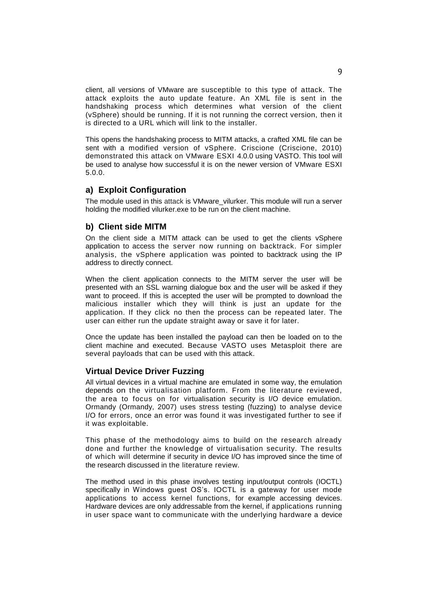client, all versions of VMware are susceptible to this type of attack. The attack exploits the auto update feature. An XML file is sent in the handshaking process which determines what version of the client (vSphere) should be running. If it is not running the correct version, then it is directed to a URL which will link to the installer.

This opens the handshaking process to MITM attacks, a crafted XML file can be sent with a modified version of vSphere. Criscione (Criscione, 2010) demonstrated this attack on VMware ESXI 4.0.0 using VASTO. This tool will be used to analyse how successful it is on the newer version of VMware ESXI 5.0.0.

#### **a) Exploit Configuration**

The module used in this attack is VMware\_vilurker. This module will run a server holding the modified vilurker.exe to be run on the client machine.

#### **b) Client side MITM**

On the client side a MITM attack can be used to get the clients vSphere application to access the server now running on backtrack. For simpler analysis, the vSphere application was pointed to backtrack using the IP address to directly connect.

When the client application connects to the MITM server the user will be presented with an SSL warning dialogue box and the user will be asked if they want to proceed. If this is accepted the user will be prompted to download the malicious installer which they will think is just an update for the application. If they click no then the process can be repeated later. The user can either run the update straight away or save it for later.

Once the update has been installed the payload can then be loaded on to the client machine and executed. Because VASTO uses Metasploit there are several payloads that can be used with this attack.

#### **Virtual Device Driver Fuzzing**

All virtual devices in a virtual machine are emulated in some way, the emulation depends on the virtualisation platform. From the literature reviewed, the area to focus on for virtualisation security is I/O device emulation. Ormandy (Ormandy, 2007) uses stress testing (fuzzing) to analyse device I/O for errors, once an error was found it was investigated further to see if it was exploitable.

This phase of the methodology aims to build on the research already done and further the knowledge of virtualisation security. The results of which will determine if security in device I/O has improved since the time of the research discussed in the literature review.

The method used in this phase involves testing input/output controls (IOCTL) specifically in Windows guest OS's. IOCTL is a gateway for user mode applications to access kernel functions, for example accessing devices. Hardware devices are only addressable from the kernel, if applications running in user space want to communicate with the underlying hardware a device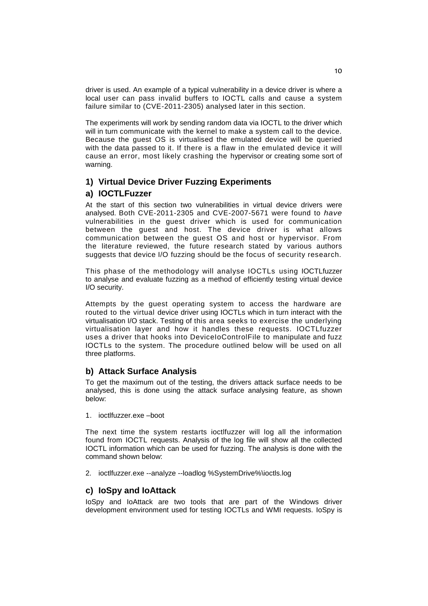driver is used. An example of a typical vulnerability in a device driver is where a local user can pass invalid buffers to IOCTL calls and cause a system failure similar to (CVE-2011-2305) analysed later in this section.

The experiments will work by sending random data via IOCTL to the driver which will in turn communicate with the kernel to make a system call to the device. Because the guest OS is virtualised the emulated device will be queried with the data passed to it. If there is a flaw in the emulated device it will cause an error, most likely crashing the hypervisor or creating some sort of warning.

# **1) Virtual Device Driver Fuzzing Experiments**

#### **a) IOCTLFuzzer**

At the start of this section two vulnerabilities in virtual device drivers were analysed. Both CVE-2011-2305 and CVE-2007-5671 were found to *have*  vulnerabilities in the guest driver which is used for communication between the guest and host. The device driver is what allows communication between the guest OS and host or hypervisor. From the literature reviewed, the future research stated by various authors suggests that device I/O fuzzing should be the focus of security research.

This phase of the methodology will analyse IOCTLs using IOCTLfuzzer to analyse and evaluate fuzzing as a method of efficiently testing virtual device I/O security.

Attempts by the guest operating system to access the hardware are routed to the virtual device driver using IOCTLs which in turn interact with the virtualisation I/O stack. Testing of this area seeks to exercise the underlying virtualisation layer and how it handles these requests. IOCTLfuzzer uses a driver that hooks into DeviceIoControlFile to manipulate and fuzz IOCTLs to the system. The procedure outlined below will be used on all three platforms.

#### **b) Attack Surface Analysis**

To get the maximum out of the testing, the drivers attack surface needs to be analysed, this is done using the attack surface analysing feature, as shown below:

1. ioctlfuzzer.exe –boot

The next time the system restarts ioctlfuzzer will log all the information found from IOCTL requests. Analysis of the log file will show all the collected IOCTL information which can be used for fuzzing. The analysis is done with the command shown below:

2. ioctlfuzzer.exe --analyze --loadlog %SystemDrive%\ioctls.log

#### **c) IoSpy and IoAttack**

IoSpy and IoAttack are two tools that are part of the Windows driver development environment used for testing IOCTLs and WMI requests. IoSpy is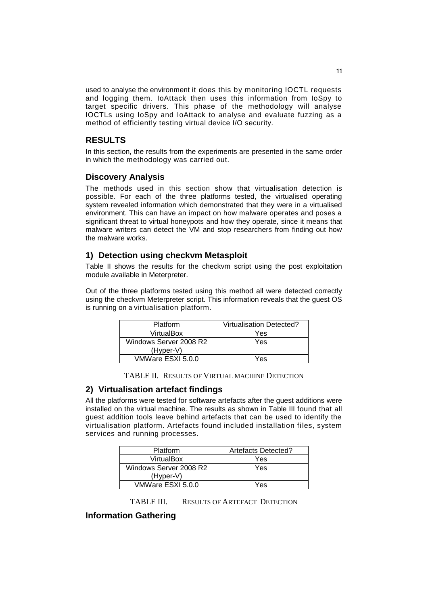used to analyse the environment it does this by monitoring IOCTL requests and logging them. IoAttack then uses this information from IoSpy to target specific drivers. This phase of the methodology will analyse IOCTLs using IoSpy and IoAttack to analyse and evaluate fuzzing as a method of efficiently testing virtual device I/O security.

# **RESULTS**

In this section, the results from the experiments are presented in the same order in which the methodology was carried out.

# **Discovery Analysis**

The methods used in this section show that virtualisation detection is possible. For each of the three platforms tested, the virtualised operating system revealed information which demonstrated that they were in a virtualised environment. This can have an impact on how malware operates and poses a significant threat to virtual honeypots and how they operate, since it means that malware writers can detect the VM and stop researchers from finding out how the malware works.

# **1) Detection using checkvm Metasploit**

Table II shows the results for the checkvm script using the post exploitation module available in Meterpreter.

Out of the three platforms tested using this method all were detected correctly using the checkvm Meterpreter script. This information reveals that the guest OS is running on a virtualisation platform.

| Platform               | Virtualisation Detected? |
|------------------------|--------------------------|
| VirtualBox             | Yes                      |
| Windows Server 2008 R2 | Yes                      |
| $(Hyper-V)$            |                          |
| VMWare ESXI 5.0.0      | Yes                      |

|  |  | TABLE II. RESULTS OF VIRTUAL MACHINE DETECTION |  |
|--|--|------------------------------------------------|--|
|--|--|------------------------------------------------|--|

#### **2) Virtualisation artefact findings**

All the platforms were tested for software artefacts after the guest additions were installed on the virtual machine. The results as shown in Table III found that all guest addition tools leave behind artefacts that can be used to identify the virtualisation platform. Artefacts found included installation files, system services and running processes.

| <b>Platform</b>        | Artefacts Detected? |  |
|------------------------|---------------------|--|
| VirtualBox             | Yes                 |  |
| Windows Server 2008 R2 | Yes                 |  |
| (Hyper-V)              |                     |  |
| VMWare ESXI 5.0.0      | Yes                 |  |

# **Information Gathering**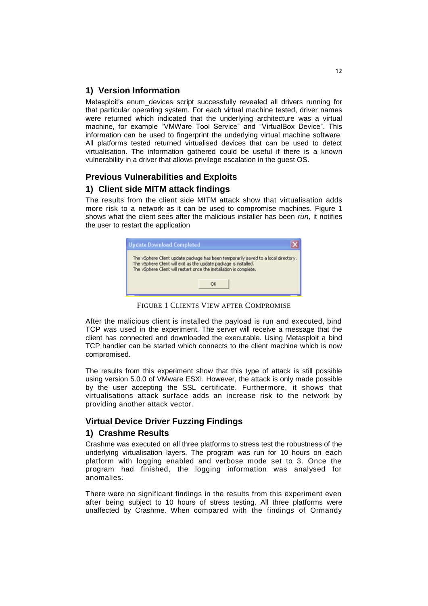# **1) Version Information**

Metasploit's enum devices script successfully revealed all drivers running for that particular operating system. For each virtual machine tested, driver names were returned which indicated that the underlying architecture was a virtual machine, for example "VMWare Tool Service" and "VirtualBox Device". This information can be used to fingerprint the underlying virtual machine software. All platforms tested returned virtualised devices that can be used to detect virtualisation. The information gathered could be useful if there is a known vulnerability in a driver that allows privilege escalation in the guest OS.

# **Previous Vulnerabilities and Exploits 1) Client side MITM attack findings**

The results from the client side MITM attack show that virtualisation adds more risk to a network as it can be used to compromise machines. [Figure 1](#page-11-0) shows what the client sees after the malicious installer has been *run,* it notifies the user to restart the application



FIGURE 1 CLIENTS VIEW AFTER COMPROMISE

<span id="page-11-0"></span>After the malicious client is installed the payload is run and executed, bind TCP was used in the experiment. The server will receive a message that the client has connected and downloaded the executable. Using Metasploit a bind TCP handler can be started which connects to the client machine which is now compromised.

The results from this experiment show that this type of attack is still possible using version 5.0.0 of VMware ESXI. However, the attack is only made possible by the user accepting the SSL certificate. Furthermore, it shows that virtualisations attack surface adds an increase risk to the network by providing another attack vector.

# **Virtual Device Driver Fuzzing Findings**

# **1) Crashme Results**

Crashme was executed on all three platforms to stress test the robustness of the underlying virtualisation layers. The program was run for 10 hours on each platform with logging enabled and verbose mode set to 3. Once the program had finished, the logging information was analysed for anomalies.

There were no significant findings in the results from this experiment even after being subject to 10 hours of stress testing. All three platforms were unaffected by Crashme. When compared with the findings of Ormandy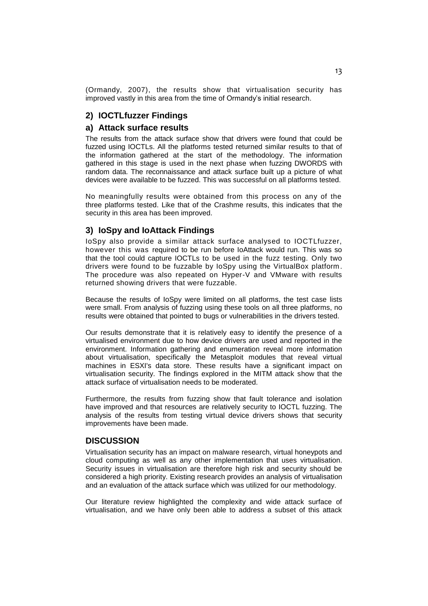(Ormandy, 2007), the results show that virtualisation security has improved vastly in this area from the time of Ormandy's initial research.

# **2) IOCTLfuzzer Findings**

#### **a) Attack surface results**

The results from the attack surface show that drivers were found that could be fuzzed using IOCTLs. All the platforms tested returned similar results to that of the information gathered at the start of the methodology. The information gathered in this stage is used in the next phase when fuzzing DWORDS with random data. The reconnaissance and attack surface built up a picture of what devices were available to be fuzzed. This was successful on all platforms tested.

No meaningfully results were obtained from this process on any of the three platforms tested. Like that of the Crashme results, this indicates that the security in this area has been improved.

#### **3) IoSpy and IoAttack Findings**

IoSpy also provide a similar attack surface analysed to IOCTLfuzzer, however this was required to be run before IoAttack would run. This was so that the tool could capture IOCTLs to be used in the fuzz testing. Only two drivers were found to be fuzzable by IoSpy using the VirtualBox platform. The procedure was also repeated on Hyper-V and VMware with results returned showing drivers that were fuzzable.

Because the results of IoSpy were limited on all platforms, the test case lists were small. From analysis of fuzzing using these tools on all three platforms, no results were obtained that pointed to bugs or vulnerabilities in the drivers tested.

Our results demonstrate that it is relatively easy to identify the presence of a virtualised environment due to how device drivers are used and reported in the environment. Information gathering and enumeration reveal more information about virtualisation, specifically the Metasploit modules that reveal virtual machines in ESXI's data store. These results have a significant impact on virtualisation security. The findings explored in the MITM attack show that the attack surface of virtualisation needs to be moderated.

Furthermore, the results from fuzzing show that fault tolerance and isolation have improved and that resources are relatively security to IOCTL fuzzing. The analysis of the results from testing virtual device drivers shows that security improvements have been made.

#### **DISCUSSION**

Virtualisation security has an impact on malware research, virtual honeypots and cloud computing as well as any other implementation that uses virtualisation. Security issues in virtualisation are therefore high risk and security should be considered a high priority. Existing research provides an analysis of virtualisation and an evaluation of the attack surface which was utilized for our methodology.

Our literature review highlighted the complexity and wide attack surface of virtualisation, and we have only been able to address a subset of this attack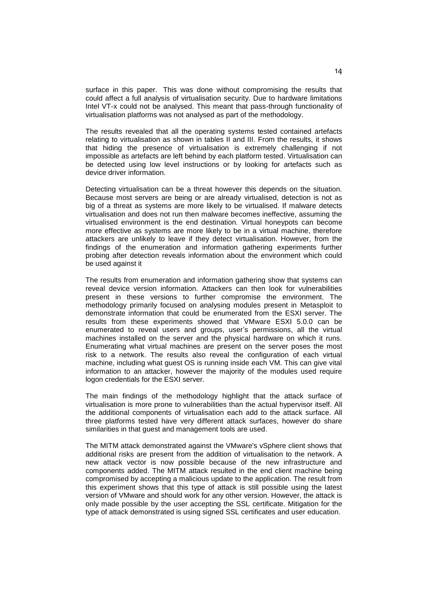surface in this paper. This was done without compromising the results that could affect a full analysis of virtualisation security. Due to hardware limitations Intel VT-x could not be analysed. This meant that pass-through functionality of virtualisation platforms was not analysed as part of the methodology.

The results revealed that all the operating systems tested contained artefacts relating to virtualisation as shown in tables II and III. From the results, it shows that hiding the presence of virtualisation is extremely challenging if not impossible as artefacts are left behind by each platform tested. Virtualisation can be detected using low level instructions or by looking for artefacts such as device driver information.

Detecting virtualisation can be a threat however this depends on the situation. Because most servers are being or are already virtualised, detection is not as big of a threat as systems are more likely to be virtualised. If malware detects virtualisation and does not run then malware becomes ineffective, assuming the virtualised environment is the end destination. Virtual honeypots can become more effective as systems are more likely to be in a virtual machine, therefore attackers are unlikely to leave if they detect virtualisation. However, from the findings of the enumeration and information gathering experiments further probing after detection reveals information about the environment which could be used against it

The results from enumeration and information gathering show that systems can reveal device version information. Attackers can then look for vulnerabilities present in these versions to further compromise the environment. The methodology primarily focused on analysing modules present in Metasploit to demonstrate information that could be enumerated from the ESXI server. The results from these experiments showed that VMware ESXI 5.0.0 can be enumerated to reveal users and groups, user's permissions, all the virtual machines installed on the server and the physical hardware on which it runs. Enumerating what virtual machines are present on the server poses the most risk to a network. The results also reveal the configuration of each virtual machine, including what guest OS is running inside each VM. This can give vital information to an attacker, however the majority of the modules used require logon credentials for the ESXI server.

The main findings of the methodology highlight that the attack surface of virtualisation is more prone to vulnerabilities than the actual hypervisor itself. All the additional components of virtualisation each add to the attack surface. All three platforms tested have very different attack surfaces, however do share similarities in that guest and management tools are used.

The MITM attack demonstrated against the VMware's vSphere client shows that additional risks are present from the addition of virtualisation to the network. A new attack vector is now possible because of the new infrastructure and components added. The MITM attack resulted in the end client machine being compromised by accepting a malicious update to the application. The result from this experiment shows that this type of attack is still possible using the latest version of VMware and should work for any other version. However, the attack is only made possible by the user accepting the SSL certificate. Mitigation for the type of attack demonstrated is using signed SSL certificates and user education.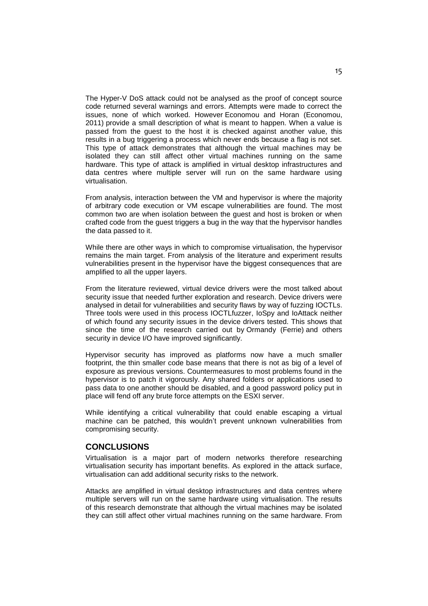The Hyper-V DoS attack could not be analysed as the proof of concept source code returned several warnings and errors. Attempts were made to correct the issues, none of which worked. However Economou and Horan (Economou, 2011) provide a small description of what is meant to happen. When a value is passed from the guest to the host it is checked against another value, this results in a bug triggering a process which never ends because a flag is not set. This type of attack demonstrates that although the virtual machines may be isolated they can still affect other virtual machines running on the same hardware. This type of attack is amplified in virtual desktop infrastructures and data centres where multiple server will run on the same hardware using virtualisation.

From analysis, interaction between the VM and hypervisor is where the majority of arbitrary code execution or VM escape vulnerabilities are found. The most common two are when isolation between the guest and host is broken or when crafted code from the guest triggers a bug in the way that the hypervisor handles the data passed to it.

While there are other ways in which to compromise virtualisation, the hypervisor remains the main target. From analysis of the literature and experiment results vulnerabilities present in the hypervisor have the biggest consequences that are amplified to all the upper layers.

From the literature reviewed, virtual device drivers were the most talked about security issue that needed further exploration and research. Device drivers were analysed in detail for vulnerabilities and security flaws by way of fuzzing IOCTLs. Three tools were used in this process IOCTLfuzzer, IoSpy and IoAttack neither of which found any security issues in the device drivers tested. This shows that since the time of the research carried out by Ormandy (Ferrie) and others security in device I/O have improved significantly.

Hypervisor security has improved as platforms now have a much smaller footprint, the thin smaller code base means that there is not as big of a level of exposure as previous versions. Countermeasures to most problems found in the hypervisor is to patch it vigorously. Any shared folders or applications used to pass data to one another should be disabled, and a good password policy put in place will fend off any brute force attempts on the ESXI server.

While identifying a critical vulnerability that could enable escaping a virtual machine can be patched, this wouldn't prevent unknown vulnerabilities from compromising security.

#### **CONCLUSIONS**

Virtualisation is a major part of modern networks therefore researching virtualisation security has important benefits. As explored in the attack surface, virtualisation can add additional security risks to the network.

Attacks are amplified in virtual desktop infrastructures and data centres where multiple servers will run on the same hardware using virtualisation. The results of this research demonstrate that although the virtual machines may be isolated they can still affect other virtual machines running on the same hardware. From